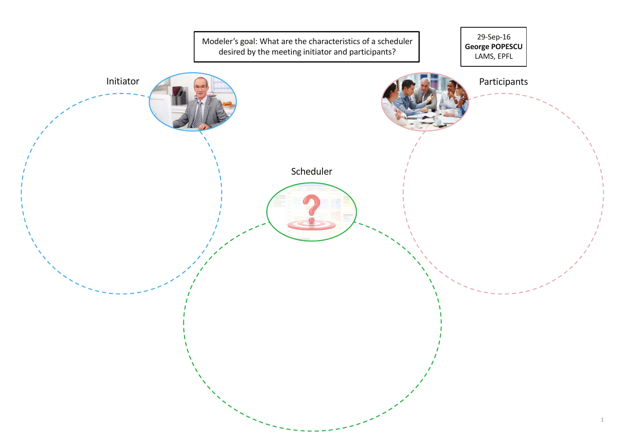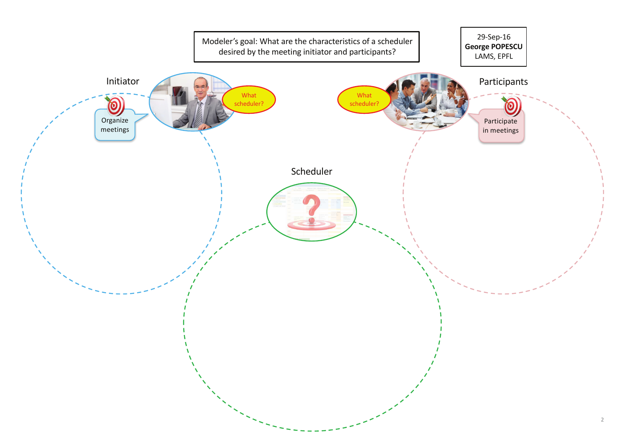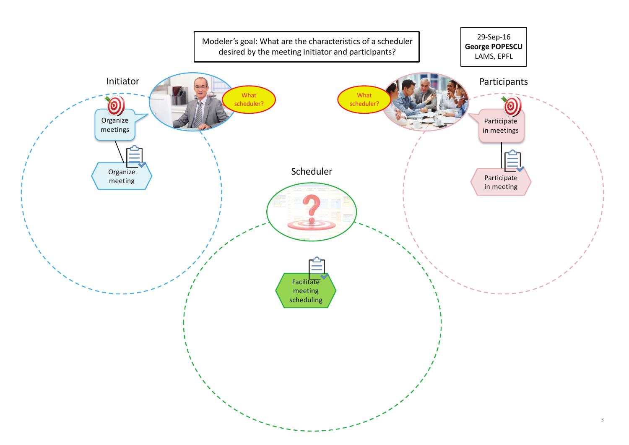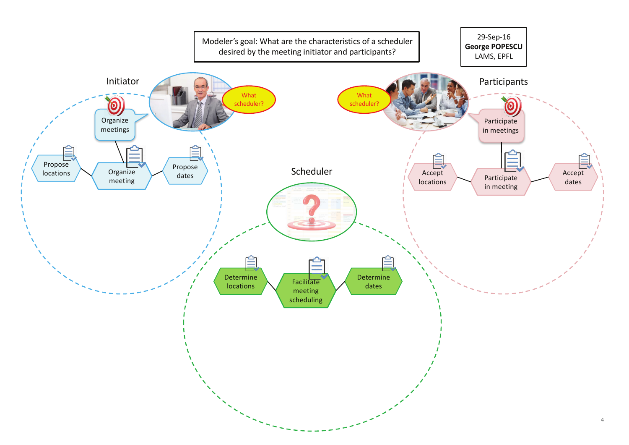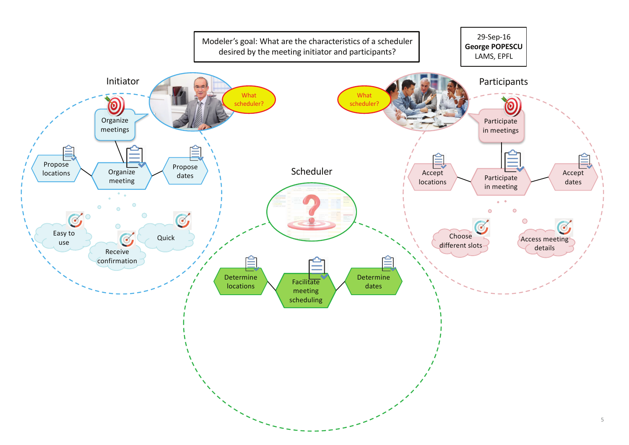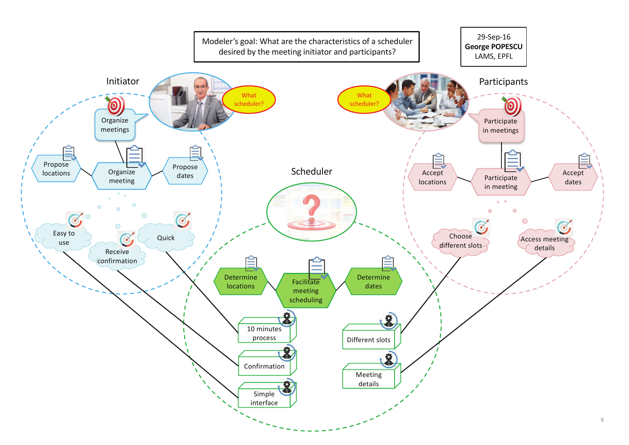